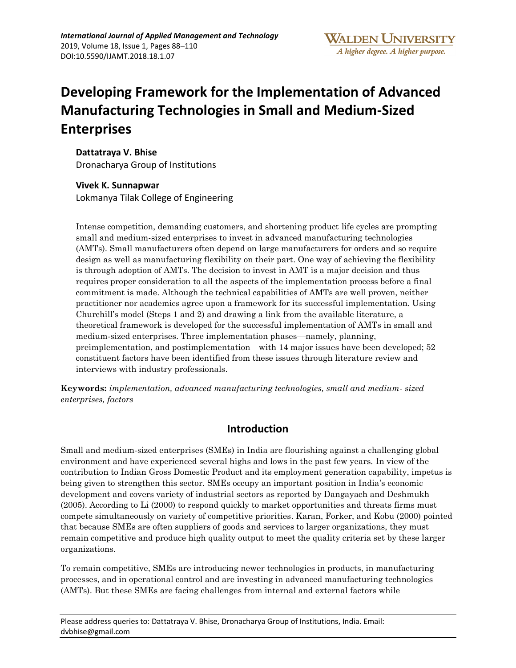# **Developing Framework for the Implementation of Advanced Manufacturing Technologies in Small and Medium-Sized Enterprises**

**Dattatraya V. Bhise** 

Dronacharya Group of Institutions

#### **Vivek K. Sunnapwar**

Lokmanya Tilak College of Engineering

Intense competition, demanding customers, and shortening product life cycles are prompting small and medium-sized enterprises to invest in advanced manufacturing technologies (AMTs). Small manufacturers often depend on large manufacturers for orders and so require design as well as manufacturing flexibility on their part. One way of achieving the flexibility is through adoption of AMTs. The decision to invest in AMT is a major decision and thus requires proper consideration to all the aspects of the implementation process before a final commitment is made. Although the technical capabilities of AMTs are well proven, neither practitioner nor academics agree upon a framework for its successful implementation. Using Churchill's model (Steps 1 and 2) and drawing a link from the available literature, a theoretical framework is developed for the successful implementation of AMTs in small and medium-sized enterprises. Three implementation phases—namely, planning, preimplementation, and postimplementation—with 14 major issues have been developed; 52 constituent factors have been identified from these issues through literature review and interviews with industry professionals.

**Keywords:** *implementation, advanced manufacturing technologies, small and medium- sized enterprises, factors*

### **Introduction**

Small and medium-sized enterprises (SMEs) in India are flourishing against a challenging global environment and have experienced several highs and lows in the past few years. In view of the contribution to Indian Gross Domestic Product and its employment generation capability, impetus is being given to strengthen this sector. SMEs occupy an important position in India's economic development and covers variety of industrial sectors as reported by Dangayach and Deshmukh (2005). According to Li (2000) to respond quickly to market opportunities and threats firms must compete simultaneously on variety of competitive priorities. Karan, Forker, and Kobu (2000) pointed that because SMEs are often suppliers of goods and services to larger organizations, they must remain competitive and produce high quality output to meet the quality criteria set by these larger organizations.

To remain competitive, SMEs are introducing newer technologies in products, in manufacturing processes, and in operational control and are investing in advanced manufacturing technologies (AMTs). But these SMEs are facing challenges from internal and external factors while

Please address queries to: Dattatraya V. Bhise, Dronacharya Group of Institutions, India. Email: dvbhise@gmail.com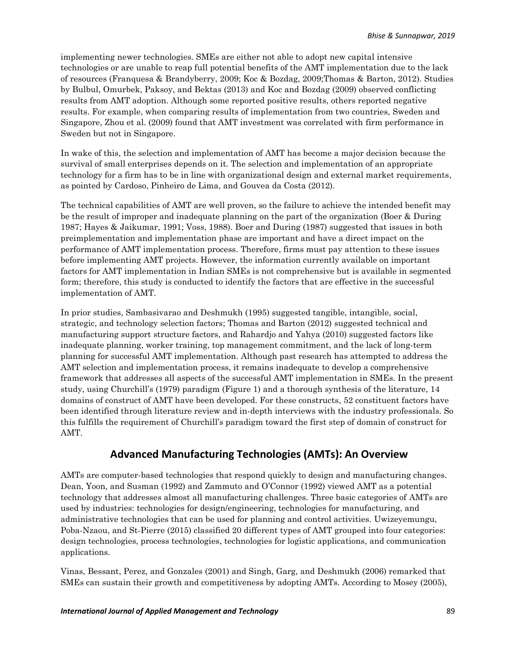implementing newer technologies. SMEs are either not able to adopt new capital intensive technologies or are unable to reap full potential benefits of the AMT implementation due to the lack of resources (Franquesa & Brandyberry, 2009; Koc & Bozdag, 2009;Thomas & Barton, 2012). Studies by Bulbul, Omurbek, Paksoy, and Bektas (2013) and Koc and Bozdag (2009) observed conflicting results from AMT adoption. Although some reported positive results, others reported negative results. For example, when comparing results of implementation from two countries, Sweden and Singapore, Zhou et al. (2009) found that AMT investment was correlated with firm performance in Sweden but not in Singapore.

In wake of this, the selection and implementation of AMT has become a major decision because the survival of small enterprises depends on it. The selection and implementation of an appropriate technology for a firm has to be in line with organizational design and external market requirements, as pointed by Cardoso, Pinheiro de Lima, and Gouvea da Costa (2012).

The technical capabilities of AMT are well proven, so the failure to achieve the intended benefit may be the result of improper and inadequate planning on the part of the organization (Boer & During 1987; Hayes & Jaikumar, 1991; Voss, 1988). Boer and During (1987) suggested that issues in both preimplementation and implementation phase are important and have a direct impact on the performance of AMT implementation process. Therefore, firms must pay attention to these issues before implementing AMT projects. However, the information currently available on important factors for AMT implementation in Indian SMEs is not comprehensive but is available in segmented form; therefore, this study is conducted to identify the factors that are effective in the successful implementation of AMT.

In prior studies, Sambasivarao and Deshmukh (1995) suggested tangible, intangible, social, strategic, and technology selection factors; Thomas and Barton (2012) suggested technical and manufacturing support structure factors, and Rahardjo and Yahya (2010) suggested factors like inadequate planning, worker training, top management commitment, and the lack of long-term planning for successful AMT implementation. Although past research has attempted to address the AMT selection and implementation process, it remains inadequate to develop a comprehensive framework that addresses all aspects of the successful AMT implementation in SMEs. In the present study, using Churchill's (1979) paradigm (Figure 1) and a thorough synthesis of the literature, 14 domains of construct of AMT have been developed. For these constructs, 52 constituent factors have been identified through literature review and in-depth interviews with the industry professionals. So this fulfills the requirement of Churchill's paradigm toward the first step of domain of construct for AMT.

### **Advanced Manufacturing Technologies (AMTs): An Overview**

AMTs are computer-based technologies that respond quickly to design and manufacturing changes. Dean, Yoon, and Susman (1992) and Zammuto and O'Connor (1992) viewed AMT as a potential technology that addresses almost all manufacturing challenges. Three basic categories of AMTs are used by industries: technologies for design/engineering, technologies for manufacturing, and administrative technologies that can be used for planning and control activities. Uwizeyemungu, Poba-Nzaou, and St-Pierre (2015) classified 20 different types of AMT grouped into four categories: design technologies, process technologies, technologies for logistic applications, and communication applications.

Vinas, Bessant, Perez, and Gonzales (2001) and Singh, Garg, and Deshmukh (2006) remarked that SMEs can sustain their growth and competitiveness by adopting AMTs. According to Mosey (2005),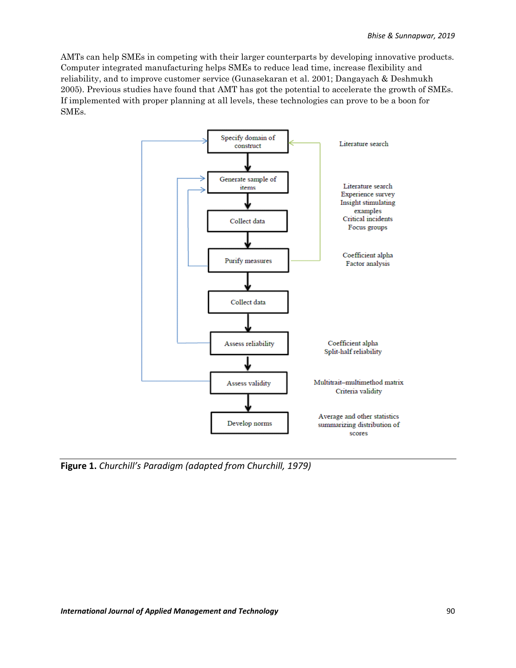AMTs can help SMEs in competing with their larger counterparts by developing innovative products. Computer integrated manufacturing helps SMEs to reduce lead time, increase flexibility and reliability, and to improve customer service (Gunasekaran et al. 2001; Dangayach & Deshmukh 2005). Previous studies have found that AMT has got the potential to accelerate the growth of SMEs. If implemented with proper planning at all levels, these technologies can prove to be a boon for SMEs.



**Figure 1.** *Churchill's Paradigm (adapted from Churchill, 1979)*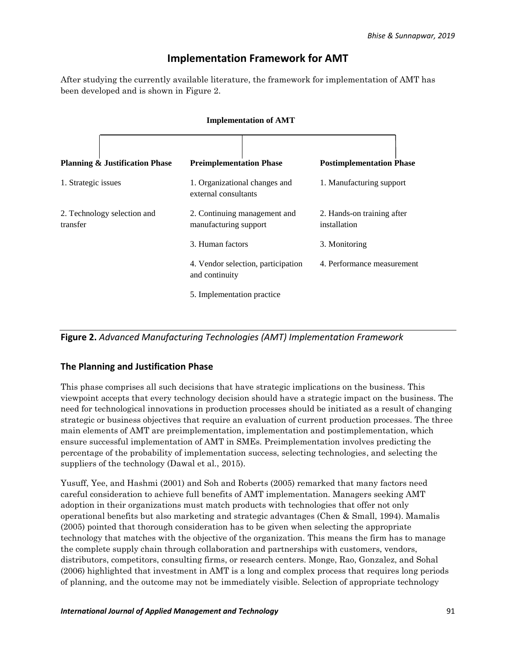### **Implementation Framework for AMT**

After studying the currently available literature, the framework for implementation of AMT has been developed and is shown in Figure 2.

|                                           | <b>Implementation of AMT</b>                          |                                            |
|-------------------------------------------|-------------------------------------------------------|--------------------------------------------|
| <b>Planning &amp; Justification Phase</b> | <b>Preimplementation Phase</b>                        | <b>Postimplementation Phase</b>            |
| 1. Strategic issues                       | 1. Organizational changes and<br>external consultants | 1. Manufacturing support                   |
| 2. Technology selection and<br>transfer   | 2. Continuing management and<br>manufacturing support | 2. Hands-on training after<br>installation |
|                                           | 3. Human factors                                      | 3. Monitoring                              |
|                                           | 4. Vendor selection, participation<br>and continuity  | 4. Performance measurement                 |
|                                           | 5. Implementation practice                            |                                            |

**Figure 2.** *Advanced Manufacturing Technologies (AMT) Implementation Framework*

#### **The Planning and Justification Phase**

This phase comprises all such decisions that have strategic implications on the business. This viewpoint accepts that every technology decision should have a strategic impact on the business. The need for technological innovations in production processes should be initiated as a result of changing strategic or business objectives that require an evaluation of current production processes. The three main elements of AMT are preimplementation, implementation and postimplementation, which ensure successful implementation of AMT in SMEs. Preimplementation involves predicting the percentage of the probability of implementation success, selecting technologies, and selecting the suppliers of the technology (Dawal et al., 2015).

Yusuff, Yee, and Hashmi (2001) and Soh and Roberts (2005) remarked that many factors need careful consideration to achieve full benefits of AMT implementation. Managers seeking AMT adoption in their organizations must match products with technologies that offer not only operational benefits but also marketing and strategic advantages (Chen & Small, 1994). Mamalis (2005) pointed that thorough consideration has to be given when selecting the appropriate technology that matches with the objective of the organization. This means the firm has to manage the complete supply chain through collaboration and partnerships with customers, vendors, distributors, competitors, consulting firms, or research centers. Monge, Rao, Gonzalez, and Sohal (2006) highlighted that investment in AMT is a long and complex process that requires long periods of planning, and the outcome may not be immediately visible. Selection of appropriate technology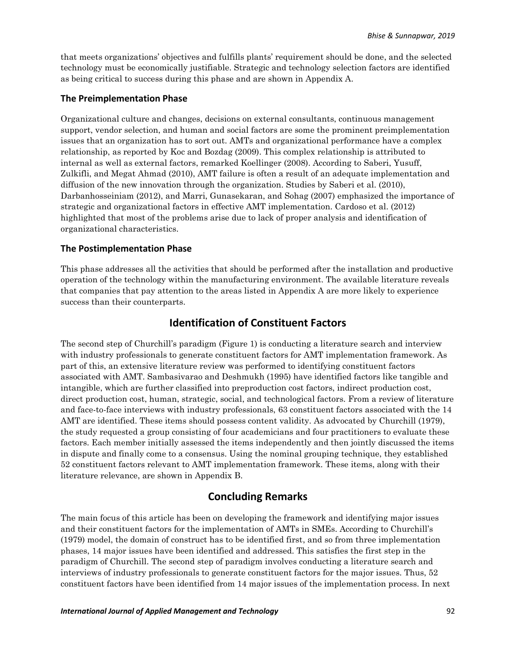that meets organizations' objectives and fulfills plants' requirement should be done, and the selected technology must be economically justifiable. Strategic and technology selection factors are identified as being critical to success during this phase and are shown in Appendix A.

#### **The Preimplementation Phase**

Organizational culture and changes, decisions on external consultants, continuous management support, vendor selection, and human and social factors are some the prominent preimplementation issues that an organization has to sort out. AMTs and organizational performance have a complex relationship, as reported by Koc and Bozdag (2009). This complex relationship is attributed to internal as well as external factors, remarked Koellinger (2008). According to Saberi, [Yusuff,](http://ascidatabase.com/author.php?author=R.&last=Mohd.%20Yusuff) [Zulkifli,](http://ascidatabase.com/author.php?author=N.&last=Zulkifli) and [Megat Ahmad](http://ascidatabase.com/author.php?author=M.M.H.&last=Megat%20Ahmad) (2010), AMT failure is often a result of an adequate implementation and diffusion of the new innovation through the organization. Studies by Saberi et al. (2010), Darbanhosseiniam (2012), and Marri, Gunasekaran, and Sohag (2007) emphasized the importance of strategic and organizational factors in effective AMT implementation. Cardoso et al. (2012) highlighted that most of the problems arise due to lack of proper analysis and identification of organizational characteristics.

#### **The Postimplementation Phase**

This phase addresses all the activities that should be performed after the installation and productive operation of the technology within the manufacturing environment. The available literature reveals that companies that pay attention to the areas listed in Appendix A are more likely to experience success than their counterparts.

#### **Identification of Constituent Factors**

The second step of Churchill's paradigm (Figure 1) is conducting a literature search and interview with industry professionals to generate constituent factors for AMT implementation framework. As part of this, an extensive literature review was performed to identifying constituent factors associated with AMT. Sambasivarao and Deshmukh (1995) have identified factors like tangible and intangible, which are further classified into preproduction cost factors, indirect production cost, direct production cost, human, strategic, social, and technological factors. From a review of literature and face-to-face interviews with industry professionals, 63 constituent factors associated with the 14 AMT are identified. These items should possess content validity. As advocated by Churchill (1979), the study requested a group consisting of four academicians and four practitioners to evaluate these factors. Each member initially assessed the items independently and then jointly discussed the items in dispute and finally come to a consensus. Using the nominal grouping technique, they established 52 constituent factors relevant to AMT implementation framework. These items, along with their literature relevance, are shown in Appendix B.

#### **Concluding Remarks**

The main focus of this article has been on developing the framework and identifying major issues and their constituent factors for the implementation of AMTs in SMEs. According to Churchill's (1979) model, the domain of construct has to be identified first, and so from three implementation phases, 14 major issues have been identified and addressed. This satisfies the first step in the paradigm of Churchill. The second step of paradigm involves conducting a literature search and interviews of industry professionals to generate constituent factors for the major issues. Thus, 52 constituent factors have been identified from 14 major issues of the implementation process. In next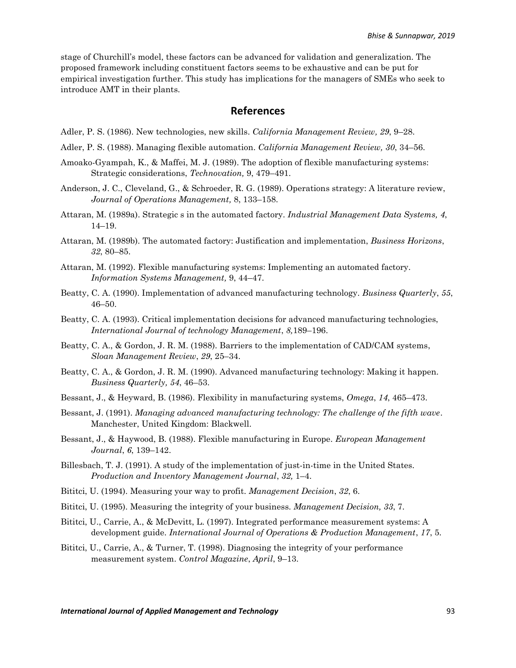stage of Churchill's model, these factors can be advanced for validation and generalization. The proposed framework including constituent factors seems to be exhaustive and can be put for empirical investigation further. This study has implications for the managers of SMEs who seek to introduce AMT in their plants.

#### **References**

Adler, P. S. (1986). New technologies, new skills. *California Management Review, 29*, 9–28.

Adler, P. S. (1988). Managing flexible automation. *California Management Review, 30*, 34–56.

- Amoako-Gyampah, K., & Maffei, M. J. (1989). The adoption of flexible manufacturing systems: Strategic considerations, *Technovation,* 9, 479–491.
- Anderson, J. C., Cleveland, G., & Schroeder, R. G. (1989). Operations strategy: A literature review, *Journal of Operations Management,* 8, 133–158.
- Attaran, M. (1989a). Strategic s in the automated factory. *Industrial Management Data Systems, 4*, 14–19.
- Attaran, M. (1989b). The automated factory: Justification and implementation, *Business Horizons*, *32*, 80–85.
- Attaran, M. (1992). Flexible manufacturing systems: Implementing an automated factory. *Information Systems Management,* 9, 44–47.
- Beatty, C. A. (1990). Implementation of advanced manufacturing technology. *Business Quarterly*, *55*, 46–50.
- Beatty, C. A. (1993). Critical implementation decisions for advanced manufacturing technologies, *International Journal of technology Management*, *8,*189–196.
- Beatty, C. A., & Gordon, J. R. M. (1988). Barriers to the implementation of CAD/CAM systems, *Sloan Management Review*, *29*, 25–34.
- Beatty, C. A., & Gordon, J. R. M. (1990). Advanced manufacturing technology: Making it happen. *Business Quarterly, 54*, 46–53.
- Bessant, J., & Heyward, B. (1986). Flexibility in manufacturing systems, *Omega*, *14*, 465–473.
- Bessant, J. (1991). *Managing advanced manufacturing technology: The challenge of the fifth wave*. Manchester, United Kingdom: Blackwell.
- Bessant, J., & Haywood, B. (1988). Flexible manufacturing in Europe. *European Management Journal*, *6*, 139–142.
- Billesbach, T. J. (1991). A study of the implementation of just-in-time in the United States. *Production and Inventory Management Journal*, *32,* 1–4.
- Bititci, U. (1994). Measuring your way to profit. *Management Decision*, *32*, 6.
- Bititci, U. (1995). Measuring the integrity of your business. *Management Decision, 33*, 7.
- Bititci, U., Carrie, A., & McDevitt, L. (1997). Integrated performance measurement systems: A development guide. *International Journal of Operations & Production Management*, *17*, 5.
- Bititci, U., Carrie, A., & Turner, T. (1998). Diagnosing the integrity of your performance measurement system. *Control Magazine*, *April*, 9–13.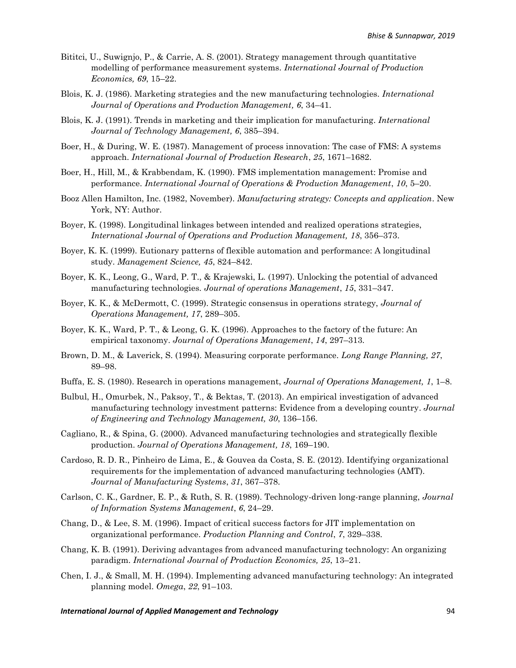- Bititci, U., Suwignjo, P., & Carrie, A. S. (2001). Strategy management through quantitative modelling of performance measurement systems. *International Journal of Production Economics, 69*, 15–22.
- Blois, K. J. (1986). Marketing strategies and the new manufacturing technologies. *International Journal of Operations and Production Management, 6*, 34–41.
- Blois, K. J. (1991). Trends in marketing and their implication for manufacturing. *International Journal of Technology Management, 6*, 385–394.
- Boer, H., & During, W. E. (1987). Management of process innovation: The case of FMS: A systems approach. *International Journal of Production Research*, *25*, 1671–1682.
- Boer, H., Hill, M., & Krabbendam, K. (1990). FMS implementation management: Promise and performance. *International Journal of Operations & Production Management*, *10*, 5–20.
- Booz Allen Hamilton, Inc. (1982, November). *Manufacturing strategy: Concepts and application*. New York, NY: Author.
- Boyer, K. (1998). Longitudinal linkages between intended and realized operations strategies, *International Journal of Operations and Production Management, 18*, 356–373.
- Boyer, K. K. (1999). Eutionary patterns of flexible automation and performance: A longitudinal study. *Management Science, 45*, 824–842.
- Boyer, K. K., Leong, G., Ward, P. T., & Krajewski, L. (1997). Unlocking the potential of advanced manufacturing technologies. *Journal of operations Management*, *15*, 331–347.
- Boyer, K. K., & McDermott, C. (1999). Strategic consensus in operations strategy, *Journal of Operations Management, 17*, 289–305.
- Boyer, K. K., Ward, P. T., & Leong, G. K. (1996). Approaches to the factory of the future: An empirical taxonomy. *Journal of Operations Management*, *14*, 297–313.
- Brown, D. M., & Laverick, S. (1994). Measuring corporate performance. *Long Range Planning, 27*, 89–98.
- Buffa, E. S. (1980). Research in operations management, *Journal of Operations Management, 1*, 1–8.
- Bulbul, H., Omurbek, N., Paksoy, T., & Bektas, T. (2013). An empirical investigation of advanced manufacturing technology investment patterns: Evidence from a developing country. *Journal of Engineering and Technology Management, 30*, 136–156.
- Cagliano, R., & Spina, G. (2000). Advanced manufacturing technologies and strategically flexible production. *Journal of Operations Management, 18*, 169–190.
- Cardoso, R. D. R., Pinheiro de Lima, E., & Gouvea da Costa, S. E. (2012). Identifying organizational requirements for the implementation of advanced manufacturing technologies (AMT). *Journal of Manufacturing Systems*, *31*, 367–378.
- Carlson, C. K., Gardner, E. P., & Ruth, S. R. (1989). Technology-driven long-range planning, *Journal of Information Systems Management*, *6*, 24–29.
- Chang, D., & Lee, S. M. (1996). Impact of critical success factors for JIT implementation on organizational performance. *Production Planning and Control*, *7*, 329–338.
- Chang, K. B. (1991). Deriving advantages from advanced manufacturing technology: An organizing paradigm. *International Journal of Production Economics, 25*, 13–21.
- Chen, I. J., & Small, M. H. (1994). Implementing advanced manufacturing technology: An integrated planning model. *Omega*, *22*, 91–103.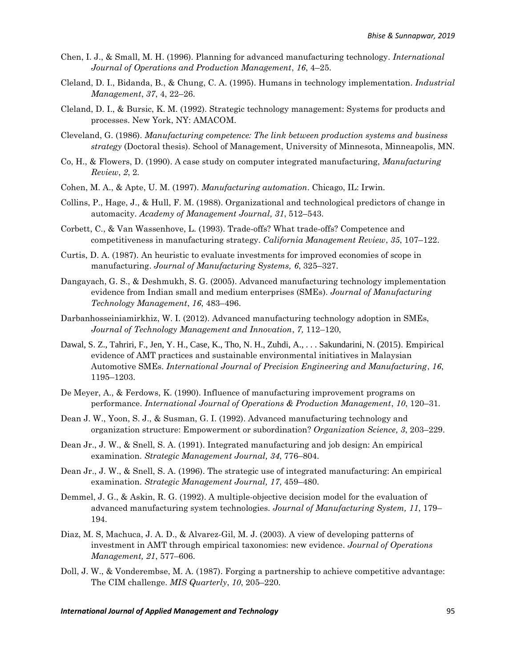- Chen, I. J., & Small, M. H. (1996). Planning for advanced manufacturing technology. *International Journal of Operations and Production Management*, *16*, 4–25.
- Cleland, D. I., Bidanda, B., & Chung, C. A. (1995). Humans in technology implementation. *Industrial Management*, *37*, 4, 22–26.
- Cleland, D. I., & Bursic, K. M. (1992). Strategic technology management: Systems for products and processes. New York, NY: AMACOM.
- Cleveland, G. (1986). *Manufacturing competence: The link between production systems and business strategy* (Doctoral thesis). School of Management, University of Minnesota, Minneapolis, MN.
- Co, H., & Flowers, D. (1990). A case study on computer integrated manufacturing, *Manufacturing Review*, *2*, 2.
- Cohen, M. A., & Apte, U. M. (1997). *Manufacturing automation*. Chicago, IL: Irwin.
- Collins, P., Hage, J., & Hull, F. M. (1988). Organizational and technological predictors of change in automacity. *Academy of Management Journal, 31*, 512–543.
- Corbett, C., & Van Wassenhove, L. (1993). Trade-offs? What trade-offs? Competence and competitiveness in manufacturing strategy. *California Management Review*, *35*, 107–122.
- Curtis, D. A. (1987). An heuristic to evaluate investments for improved economies of scope in manufacturing. *Journal of Manufacturing Systems, 6*, 325–327.
- Dangayach, G. S., & Deshmukh, S. G. (2005). Advanced manufacturing technology implementation evidence from Indian small and medium enterprises (SMEs). *Journal of Manufacturing Technology Management*, *16*, 483–496.
- Darbanhosseiniamirkhiz, W. I. (2012). Advanced manufacturing technology adoption in SMEs, *Journal of Technology Management and Innovation*, *7,* 112–120,
- Dawal, S. Z., Tahriri, F., Jen, Y. H., Case, K., Tho, N. H., Zuhdi, A., . . . Sakundarini, N. (2015). Empirical evidence of AMT practices and sustainable environmental initiatives in Malaysian Automotive SMEs. *International Journal of Precision Engineering and Manufacturing*, *16*, 1195–1203.
- De Meyer, A., & Ferdows, K. (1990). Influence of manufacturing improvement programs on performance. *International Journal of Operations & Production Management*, *10*, 120–31.
- Dean J. W., Yoon, S. J., & Susman, G. I. (1992). Advanced manufacturing technology and organization structure: Empowerment or subordination? *Organization Science, 3*, 203–229.
- Dean Jr., J. W., & Snell, S. A. (1991). Integrated manufacturing and job design: An empirical examination. *Strategic Management Journal, 34*, 776–804.
- Dean Jr., J. W., & Snell, S. A. (1996). The strategic use of integrated manufacturing: An empirical examination. *Strategic Management Journal, 17*, 459–480.
- Demmel, J. G., & Askin, R. G. (1992). A multiple-objective decision model for the evaluation of advanced manufacturing system technologies. *Journal of Manufacturing System, 11*, 179– 194.
- Diaz, M. S, Machuca, J. A. D., & Alvarez-Gil, M. J. (2003). A view of developing patterns of investment in AMT through empirical taxonomies: new evidence. *Journal of Operations Management, 21*, 577–606.
- Doll, J. W., & Vonderembse, M. A. (1987). Forging a partnership to achieve competitive advantage: The CIM challenge. *MIS Quarterly*, *10*, 205–220.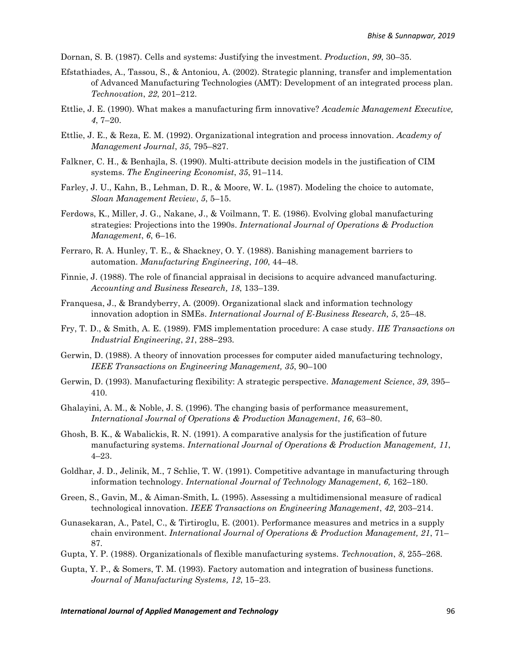Dornan, S. B. (1987). Cells and systems: Justifying the investment. *Production*, *99*, 30–35.

- Efstathiades, A., Tassou, S., & Antoniou, A. (2002). Strategic planning, transfer and implementation of Advanced Manufacturing Technologies (AMT): Development of an integrated process plan. *Technovation*, *22*, 201–212.
- Ettlie, J. E. (1990). What makes a manufacturing firm innovative? *Academic Management Executive, 4*, 7–20.
- Ettlie, J. E., & Reza, E. M. (1992). Organizational integration and process innovation. *Academy of Management Journal*, *35*, 795–827.
- Falkner, C. H., & Benhajla, S. (1990). Multi-attribute decision models in the justification of CIM systems. *The Engineering Economist*, *35*, 91–114.
- Farley, J. U., Kahn, B., Lehman, D. R., & Moore, W. L. (1987). Modeling the choice to automate, *Sloan Management Review*, *5*, 5–15.
- Ferdows, K., Miller, J. G., Nakane, J., & Voilmann, T. E. (1986). Evolving global manufacturing strategies: Projections into the 1990s. *International Journal of Operations & Production Management*, *6*, 6–16.
- Ferraro, R. A. Hunley, T. E., & Shackney, O. Y. (1988). Banishing management barriers to automation. *Manufacturing Engineering*, *100*, 44–48.
- Finnie, J. (1988). The role of financial appraisal in decisions to acquire advanced manufacturing. *Accounting and Business Research, 18*, 133–139.
- Franquesa, J., & Brandyberry, A. (2009). Organizational slack and information technology innovation adoption in SMEs. *International Journal of E-Business Research, 5*, 25–48.
- Fry, T. D., & Smith, A. E. (1989). FMS implementation procedure: A case study. *IIE Transactions on Industrial Engineering*, *21*, 288–293.
- Gerwin, D. (1988). A theory of innovation processes for computer aided manufacturing technology, *IEEE Transactions on Engineering Management, 35*, 90–100
- Gerwin, D. (1993). Manufacturing flexibility: A strategic perspective. *Management Science*, *39*, 395– 410.
- Ghalayini, A. M., & Noble, J. S. (1996). The changing basis of performance measurement, *International Journal of Operations & Production Management*, *16*, 63–80.
- Ghosh, B. K., & Wabalickis, R. N. (1991). A comparative analysis for the justification of future manufacturing systems. *International Journal of Operations & Production Management, 11*, 4–23.
- Goldhar, J. D., Jelinik, M., 7 Schlie, T. W. (1991). Competitive advantage in manufacturing through information technology. *International Journal of Technology Management, 6,* 162–180.
- Green, S., Gavin, M., & Aiman-Smith, L. (1995). Assessing a multidimensional measure of radical technological innovation. *IEEE Transactions on Engineering Management*, *42*, 203–214.
- Gunasekaran, A., Patel, C., & Tirtiroglu, E. (2001). Performance measures and metrics in a supply chain environment. *International Journal of Operations & Production Management, 21*, 71– 87.
- Gupta, Y. P. (1988). Organizationals of flexible manufacturing systems. *Technovation*, *8*, 255–268.
- Gupta, Y. P., & Somers, T. M. (1993). Factory automation and integration of business functions. *Journal of Manufacturing Systems, 12*, 15–23.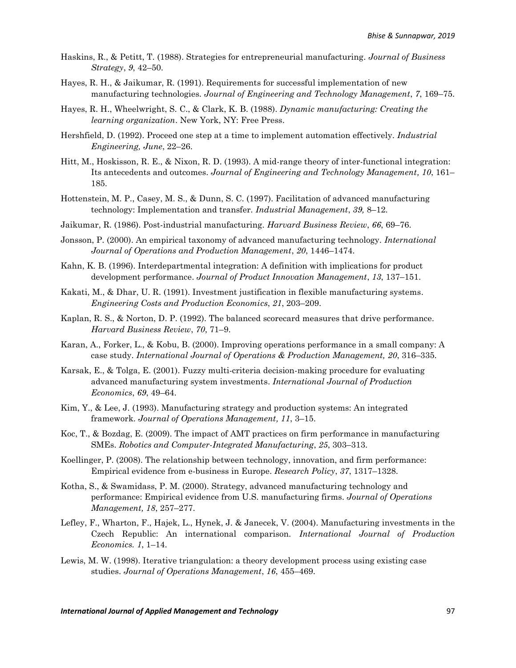- Haskins, R., & Petitt, T. (1988). Strategies for entrepreneurial manufacturing. *Journal of Business Strategy*, *9*, 42–50.
- Hayes, R. H., & Jaikumar, R. (1991). Requirements for successful implementation of new manufacturing technologies. *Journal of Engineering and Technology Management*, *7*, 169–75.
- Hayes, R. H., Wheelwright, S. C., & Clark, K. B. (1988). *Dynamic manufacturing: Creating the learning organization*. New York, NY: Free Press.
- Hershfield, D. (1992). Proceed one step at a time to implement automation effectively. *Industrial Engineering, June*, 22–26.
- Hitt, M., Hoskisson, R. E., & Nixon, R. D. (1993). A mid-range theory of inter-functional integration: Its antecedents and outcomes. *Journal of Engineering and Technology Management, 10*, 161– 185.
- Hottenstein, M. P., Casey, M. S., & Dunn, S. C. (1997). Facilitation of advanced manufacturing technology: Implementation and transfer. *Industrial Management*, *39,* 8–12.
- Jaikumar, R. (1986). Post-industrial manufacturing. *Harvard Business Review*, *66*, 69–76.
- Jonsson, P. (2000). An empirical taxonomy of advanced manufacturing technology. *International Journal of Operations and Production Management*, *20*, 1446–1474.
- Kahn, K. B. (1996). Interdepartmental integration: A definition with implications for product development performance. *Journal of Product Innovation Management*, *13*, 137–151.
- Kakati, M., & Dhar, U. R. (1991). Investment justification in flexible manufacturing systems. *Engineering Costs and Production Economics*, *21*, 203–209.
- Kaplan, R. S., & Norton, D. P. (1992). The balanced scorecard measures that drive performance. *Harvard Business Review*, *70*, 71–9.
- Karan, A., Forker, L., & Kobu, B. (2000). Improving operations performance in a small company: A case study. *International Journal of Operations & Production Management, 20*, 316–335.
- Karsak, E., & Tolga, E. (2001). Fuzzy multi-criteria decision-making procedure for evaluating advanced manufacturing system investments. *International Journal of Production Economics*, *69*, 49–64.
- Kim, Y., & Lee, J. (1993). Manufacturing strategy and production systems: An integrated framework. *Journal of Operations Management, 11*, 3–15.
- Koc, T., & Bozdag, E. (2009). The impact of AMT practices on firm performance in manufacturing SMEs. *Robotics and Computer-Integrated Manufacturing*, *25*, 303–313.
- Koellinger, P. (2008). The relationship between technology, innovation, and firm performance: Empirical evidence from e-business in Europe. *Research Policy*, *37*, 1317–1328.
- Kotha, S., & Swamidass, P. M. (2000). Strategy, advanced manufacturing technology and performance: Empirical evidence from U.S. manufacturing firms. *Journal of Operations Management, 18*, 257–277.
- Lefley, F., Wharton, F., Hajek, L., Hynek, J. & Janecek, V. (2004). Manufacturing investments in the Czech Republic: An international comparison. *International Journal of Production Economics. 1*, 1–14.
- Lewis, M. W. (1998). Iterative triangulation: a theory development process using existing case studies. *Journal of Operations Management*, *16*, 455–469.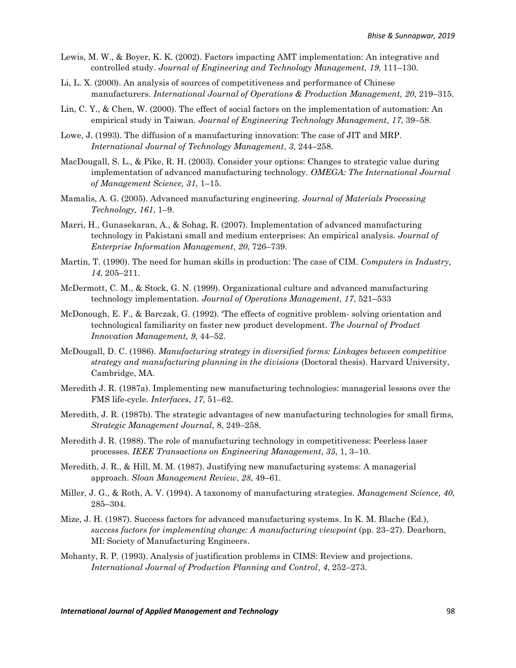- Lewis, M. W., & Boyer, K. K. (2002). Factors impacting AMT implementation: An integrative and controlled study. *Journal of Engineering and Technology Management, 19*, 111–130.
- Li, L. X. (2000). An analysis of sources of competitiveness and performance of Chinese manufacturers. *International Journal of Operations & Production Management, 20*, 219–315.
- Lin, C. Y., & Chen, W. (2000). The effect of social factors on the implementation of automation: An empirical study in Taiwan. *Journal of Engineering Technology Management, 17*, 39–58.
- [Lowe,](http://www.sciencedirect.com/science?_ob=ArticleURL&_udi=B6V8B-44Y1P7X-1&_user=41961&_rdoc=1&_fmt=&_orig=search&_sort=d&view=c&_acct=C000004478&_version=1&_urlVersion=0&_userid=41961&md5=7788b55740e9a6e4d81993fd147adb0f#bbib8) J. (1993). The diffusion of a manufacturing innovation: The case of JIT and MRP. *International Journal of Technology Management*, *3*, 244–258.
- MacDougall, S. L., & Pike, R. H. (2003). Consider your options: Changes to strategic value during implementation of advanced manufacturing technology. *OMEGA: The International Journal of Management Science, 31*, 1–15.
- Mamalis, A. G. (2005). Advanced manufacturing engineering. *Journal of Materials Processing Technology, 161*, 1–9.
- Marri, H., Gunasekaran, A., & Sohag, R. (2007). Implementation of advanced manufacturing technology in Pakistani small and medium enterprises: An empirical analysis. *[Journal of](https://www.researchgate.net/journal/1741-0398_Journal_of_Enterprise_Information_Management)  [Enterprise Information Management](https://www.researchgate.net/journal/1741-0398_Journal_of_Enterprise_Information_Management)*, *20*, 726–739.
- Martin, T. (1990). The need for human skills in production: The case of CIM. *Computers in Industry, 14*, 205–211.
- McDermott, C. M., & Stock, G. N. (1999). Organizational culture and advanced manufacturing technology implementation. *Journal of Operations Management, 17*, 521–533
- McDonough, E. F., & Barczak, G. (1992). 'The effects of cognitive problem- solving orientation and technological familiarity on faster new product development. *The Journal of Product Innovation Management, 9*, 44–52.
- McDougall, D. C. (1986). *Manufacturing strategy in diversified forms: Linkages between competitive strategy and manufacturing planning in the divisions* (Doctoral thesis). Harvard University, Cambridge, MA.
- Meredith J. R. (1987a). Implementing new manufacturing technologies: managerial lessons over the FMS life-cycle. *Interfaces*, *17*, 51–62.
- Meredith, J. R. (1987b). The strategic advantages of new manufacturing technologies for small firms, *Strategic Management Journal,* 8, 249–258.
- Meredith J. R. (1988). The role of manufacturing technology in competitiveness: Peerless laser processes. *IEEE Transactions on Engineering Management*, *35*, 1, 3–10.
- Meredith, J. R., & Hill, M. M. (1987). Justifying new manufacturing systems: A managerial approach. *Sloan Management Review*, *28*, 49–61.
- Miller, J. G., & Roth, A. V. (1994). A taxonomy of manufacturing strategies. *Management Science, 40*, 285–304.
- Mize, J. H. (1987). Success factors for advanced manufacturing systems. In K. M. Blache (Ed.), *success factors for implementing change: A manufacturing viewpoint* (pp. 23–27). Dearborn, MI: Society of Manufacturing Engineers.
- Mohanty, R. P. (1993). Analysis of justification problems in CIMS: Review and projections. *International Journal of Production Planning and Control*, *4*, 252–273.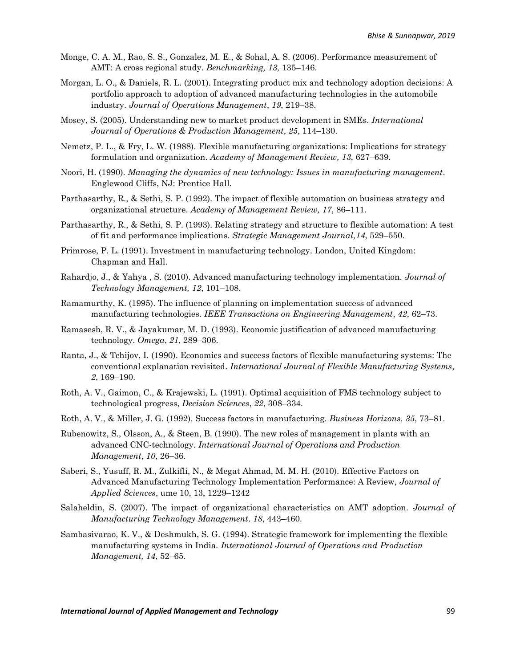- Monge, C. A. M., Rao, S. S., Gonzalez, M. E., & Sohal, A. S. (2006). Performance measurement of AMT: A cross regional study. *Benchmarking, 13,* 135–146.
- Morgan, L. O., & Daniels, R. L. (2001). Integrating product mix and technology adoption decisions: A portfolio approach to adoption of advanced manufacturing technologies in the automobile industry. *Journal of Operations Management*, *19*, 219–38.
- Mosey, S. (2005). Understanding new to market product development in SMEs. *International Journal of Operations & Production Management*, *25*, 114–130.
- Nemetz, P. L., & Fry, L. W. (1988). Flexible manufacturing organizations: Implications for strategy formulation and organization. *Academy of Management Review, 13*, 627–639.
- Noori, H. (1990). *Managing the dynamics of new technology: Issues in manufacturing management*. Englewood Cliffs, NJ: Prentice Hall.
- Parthasarthy, R., & Sethi, S. P. (1992). The impact of flexible automation on business strategy and organizational structure. *Academy of Management Review, 17*, 86–111.
- Parthasarthy, R., & Sethi, S. P. (1993). Relating strategy and structure to flexible automation: A test of fit and performance implications. *Strategic Management Journal,14*, 529–550.
- Primrose, P. L. (1991). Investment in manufacturing technology. London, United Kingdom: Chapman and Hall.
- Rahardjo, J., & Yahya , S. (2010). Advanced manufacturing technology implementation*. Journal of Technology Management, 12*, 101–108.
- Ramamurthy, K. (1995). The influence of planning on implementation success of advanced manufacturing technologies. *IEEE Transactions on Engineering Management*, *42*, 62–73.
- Ramasesh, R. V., & Jayakumar, M. D. (1993). Economic justification of advanced manufacturing technology. *Omega*, *21*, 289–306.
- Ranta, J., & Tchijov, I. (1990). Economics and success factors of flexible manufacturing systems: The conventional explanation revisited. *International Journal of Flexible Manufacturing Systems, 2*, 169–190.
- Roth, A. V., Gaimon, C., & Krajewski, L. (1991). Optimal acquisition of FMS technology subject to technological progress, *Decision Sciences*, *22*, 308–334.
- Roth, A. V., & Miller, J. G. (1992). Success factors in manufacturing. *Business Horizons, 35*, 73–81.
- Rubenowitz, S., Olsson, A., & Steen, B. (1990). The new roles of management in plants with an advanced CNC-technology. *International Journal of Operations and Production Management*, *10*, 26–36.
- [Saberi,](http://ascidatabase.com/author.php?author=S.&last=Saberi) S., [Yusuff,](http://ascidatabase.com/author.php?author=R.&last=Mohd.%20Yusuff) R. M., [Zulkifli,](http://ascidatabase.com/author.php?author=N.&last=Zulkifli) N., & [Megat Ahmad,](http://ascidatabase.com/author.php?author=M.M.H.&last=Megat%20Ahmad) M. M. H. (2010). Effective Factors on Advanced Manufacturing Technology Implementation Performance: A Review, *[Journal of](https://scialert.net/jhome.php?issn=1812-5654)  [Applied Sciences](https://scialert.net/jhome.php?issn=1812-5654)*, ume 10, 13, 1229–1242
- Salaheldin, S. (2007). The impact of organizational characteristics on AMT adoption. *Journal of Manufacturing Technology Management*. *18*, 443–460.
- Sambasivarao, K. V., & Deshmukh, S. G. (1994). Strategic framework for implementing the flexible manufacturing systems in India. *International Journal of Operations and Production Management, 14*, 52–65.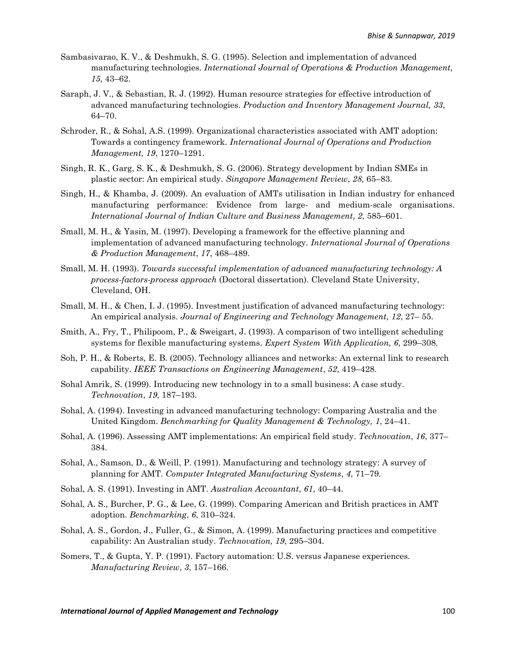- Sambasivarao, K. V., & Deshmukh, S. G. (1995). Selection and implementation of advanced manufacturing technologies. *International Journal of Operations & Production Management, 15*, 43–62.
- Saraph, J. V., & Sebastian, R. J. (1992). Human resource strategies for effective introduction of advanced manufacturing technologies. *Production and Inventory Management Journal, 33*, 64–70.
- Schroder, R., & Sohal, A.S. (1999). Organizational characteristics associated with AMT adoption: Towards a contingency framework. *International Journal of Operations and Production Management, 19*, 1270–1291.
- Singh, R. K., Garg, S. K., & Deshmukh, S. G. (2006). Strategy development by Indian SMEs in plastic sector: An empirical study. *Singapore Management Review*, *28,* 65–83.
- Singh, H., & Khamba, J. (2009). An evaluation of AMTs utilisation in Indian industry for enhanced manufacturing performance: Evidence from large- and medium-scale organisations. *International Journal of Indian Culture and Business Management, 2*, 585–601.
- Small, M. H., & Yasin, M. (1997). Developing a framework for the effective planning and implementation of advanced manufacturing technology. *International Journal of Operations & Production Management*, *17*, 468–489.
- Small, M. H. (1993). *Towards successful implementation of advanced manufacturing technology: A process-factors-process approach* (Doctoral dissertation). Cleveland State University, Cleveland, OH.
- Small, M. H., & Chen, I. J. (1995). Investment justification of advanced manufacturing technology: An empirical analysis. *Journal of Engineering and Technology Management, 12*, 27– 55.
- Smith, A., Fry, T., Philipoom, P., & Sweigart, J. (1993). A comparison of two intelligent scheduling systems for flexible manufacturing systems. *Expert System With Application, 6*, 299–308.
- Soh, P. H., & Roberts, E. B. (2005). Technology alliances and networks: An external link to research capability. *IEEE Transactions on Engineering Management*, *52*, 419–428.
- Sohal Amrik, S. (1999). Introducing new technology in to a small business: A case study. *Technovation*, *19*, 187–193.
- Sohal, A. (1994). Investing in advanced manufacturing technology: Comparing Australia and the United Kingdom. *Benchmarking for Quality Management & Technology, 1*, 24–41.
- [Sohal,](http://www.sciencedirect.com/science?_ob=ArticleURL&_udi=B6V8B-44Y1P7X-1&_user=41961&_rdoc=1&_fmt=&_orig=search&_sort=d&view=c&_acct=C000004478&_version=1&_urlVersion=0&_userid=41961&md5=7788b55740e9a6e4d81993fd147adb0f#bbib11) A. (1996). Assessing AMT implementations: An empirical field study. *Technovation*, *16*, 377– 384.
- Sohal, A., Samson, D., & Weill, P. (1991). Manufacturing and technology strategy: A survey of planning for AMT. *Computer Integrated Manufacturing Systems*, *4*, 71–79.
- Sohal, A. S. (1991). Investing in AMT. *Australian Accountant*, *61*, 40–44.
- Sohal, A. S., Burcher, P. G., & Lee, G. (1999). Comparing American and British practices in AMT adoption. *Benchmarking*, *6*, 310–324.
- Sohal, A. S., Gordon, J., Fuller, G., & Simon, A. (1999). Manufacturing practices and competitive capability: An Australian study. *Technovation, 19*, 295–304.
- Somers, T., & Gupta, Y. P. (1991). Factory automation: U.S. versus Japanese experiences. *Manufacturing Review*, *3*, 157–166.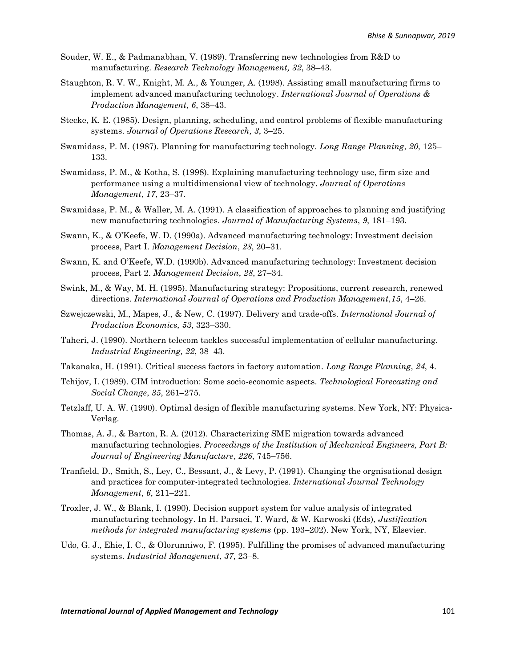- Souder, W. E., & Padmanabhan, V. (1989). Transferring new technologies from R&D to manufacturing. *Research Technology Management, 32*, 38–43.
- Staughton, R. V. W., Knight, M. A., & Younger, A. (1998). Assisting small manufacturing firms to implement advanced manufacturing technology. *International Journal of Operations & Production Management, 6*, 38–43.
- Stecke, K. E. (1985). Design, planning, scheduling, and control problems of flexible manufacturing systems. *Journal of Operations Research, 3*, 3–25.
- Swamidass, P. M. (1987). Planning for manufacturing technology. *Long Range Planning*, *20*, 125– 133.
- Swamidass, P. M., & Kotha, S. (1998). Explaining manufacturing technology use, firm size and performance using a multidimensional view of technology. *Journal of Operations Management, 17*, 23–37.
- Swamidass, P. M., & Waller, M. A. (1991). A classification of approaches to planning and justifying new manufacturing technologies. *Journal of Manufacturing Systems*, *9*, 181–193.
- Swann, K., & O'Keefe, W. D. (1990a). Advanced manufacturing technology: Investment decision process, Part I. *Management Decision*, *28*, 20–31.
- Swann, K. and O'Keefe, W.D. (1990b). Advanced manufacturing technology: Investment decision process, Part 2. *Management Decision*, *28*, 27–34.
- Swink, M., & Way, M. H. (1995). Manufacturing strategy: Propositions, current research, renewed directions. *International Journal of Operations and Production Management,15*, 4–26.
- Szwejczewski, M., Mapes, J., & New, C. (1997). Delivery and trade-offs. *International Journal of Production Economics, 53*, 323–330.
- Taheri, J. (1990). Northern telecom tackles successful implementation of cellular manufacturing. *Industrial Engineering, 22*, 38–43.
- Takanaka, H. (1991). Critical success factors in factory automation. *Long Range Planning*, *24*, 4.
- Tchijov, I. (1989). CIM introduction: Some socio-economic aspects. *Technological Forecasting and Social Change*, *35*, 261–275.
- Tetzlaff, U. A. W. (1990). Optimal design of flexible manufacturing systems. New York, NY: Physica-Verlag.
- Thomas, A. J., & Barton, R. A. (2012). Characterizing SME migration towards advanced manufacturing technologies. *Proceedings of the Institution of Mechanical Engineers, Part B: Journal of Engineering Manufacture*, *226*, 745–756.
- Tranfield, D., Smith, S., Ley, C., Bessant, J., & Levy, P. (1991). Changing the orgnisational design and practices for computer-integrated technologies. *International Journal Technology Management*, *6*, 211–221.
- Troxler, J. W., & Blank, I. (1990). Decision support system for value analysis of integrated manufacturing technology. In H. Parsaei, T. Ward, & W. Karwoski (Eds), *Justification methods for integrated manufacturing systems* (pp. 193–202). New York, NY, Elsevier.
- Udo, G. J., Ehie, I. C., & Olorunniwo, F. (1995). Fulfilling the promises of advanced manufacturing systems. *Industrial Management*, *37*, 23–8.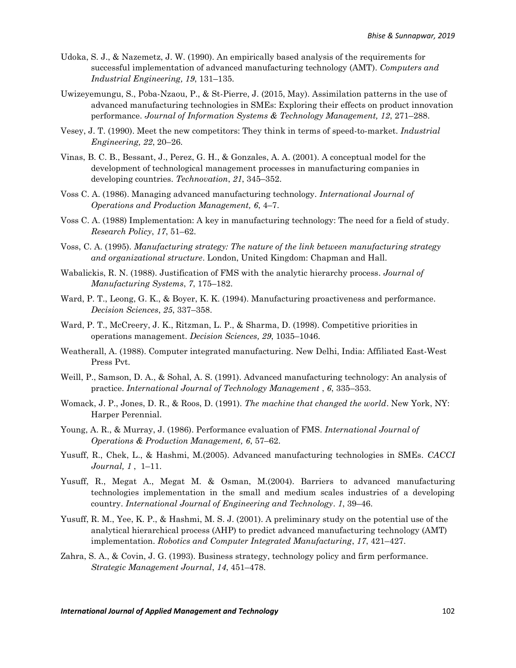- Udoka, S. J., & Nazemetz, J. W. (1990). An empirically based analysis of the requirements for successful implementation of advanced manufacturing technology (AMT). *Computers and Industrial Engineering, 19*, 131–135.
- Uwizeyemungu, S., Poba-Nzaou, P., & St-Pierre, J. (2015, May). Assimilation patterns in the use of advanced manufacturing technologies in SMEs: Exploring their effects on product innovation performance. *Journal of Information Systems & Technology Management, 12*, 271–288.
- Vesey, J. T. (1990). Meet the new competitors: They think in terms of speed-to-market. *Industrial Engineering, 22*, 20–26.
- Vinas, B. C. B., Bessant, J., Perez, G. H., & Gonzales, A. A. (2001). A conceptual model for the development of technological management processes in manufacturing companies in developing countries. *Technovation*, *21*, 345–352.
- Voss C. A. (1986). Managing advanced manufacturing technology. *International Journal of Operations and Production Management, 6*, 4–7.
- Voss C. A. (1988) Implementation: A key in manufacturing technology: The need for a field of study. *Research Policy*, *17*, 51–62.
- Voss, C. A. (1995). *Manufacturing strategy: The nature of the link between manufacturing strategy and organizational structure*. London, United Kingdom: Chapman and Hall.
- Wabalickis, R. N. (1988). Justification of FMS with the analytic hierarchy process. *Journal of Manufacturing Systems*, *7*, 175–182.
- Ward, P. T., Leong, G. K., & Boyer, K. K. (1994). Manufacturing proactiveness and performance. *Decision Sciences*, *25*, 337–358.
- Ward, P. T., McCreery, J. K., Ritzman, L. P., & Sharma, D. (1998). Competitive priorities in operations management. *Decision Sciences, 29*, 1035–1046.
- Weatherall, A. (1988). Computer integrated manufacturing. New Delhi, India: Affiliated East-West Press Pvt.
- Weill, P., Samson, D. A., & Sohal, A. S. (1991). Advanced manufacturing technology: An analysis of practice. *International Journal of Technology Management* , *6*, 335–353.
- Womack, J. P., Jones, D. R., & Roos, D. (1991). *The machine that changed the world*. New York, NY: Harper Perennial.
- Young, A. R., & Murray, J. (1986). Performance evaluation of FMS. *International Journal of Operations & Production Management, 6*, 57–62.
- Yusuff, R., Chek, L., & Hashmi, M.(2005). Advanced manufacturing technologies in SMEs. *CACCI Journal, 1* ,1–11.
- Yusuff, R., Megat A., Megat M. & Osman, M.(2004). Barriers to advanced manufacturing technologies implementation in the small and medium scales industries of a developing country. *International Journal of Engineering and Technology*. *1*, 39–46.
- Yusuff, R. M., Yee, K. P., & Hashmi, M. S. J. (2001). A preliminary study on the potential use of the analytical hierarchical process (AHP) to predict advanced manufacturing technology (AMT) implementation. *Robotics and Computer Integrated Manufacturing*, *17*, 421–427.
- Zahra, S. A., & Covin, J. G. (1993). Business strategy, technology policy and firm performance. *Strategic Management Journal*, *14*, 451–478.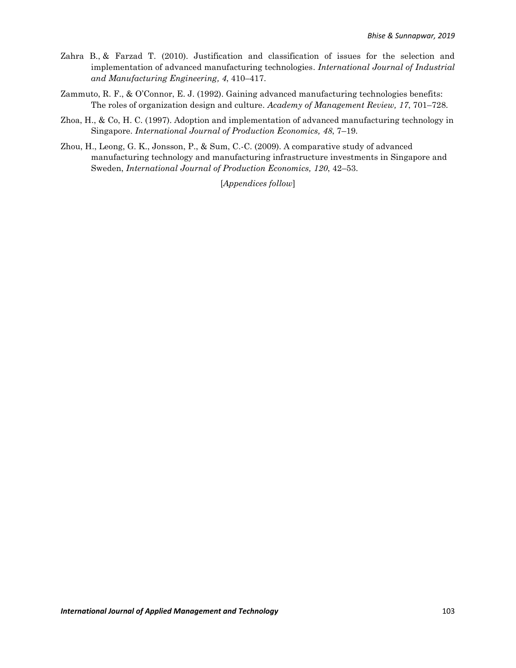- [Zahra B.,](https://publications.waset.org/author/zahra-banakar) & [Farzad T.](https://publications.waset.org/author/farzad-tahriri) (2010). Justification and classification of issues for the selection and implementation of advanced manufacturing technologies. *International Journal of Industrial and Manufacturing Engineering, 4*, 410–417.
- Zammuto, R. F., & O'Connor, E. J. (1992). Gaining advanced manufacturing technologies benefits: The roles of organization design and culture. *Academy of Management Review, 17*, 701–728.
- Zhoa, H., & Co, H. C. (1997). Adoption and implementation of advanced manufacturing technology in Singapore. *International Journal of Production Economics, 48*, 7–19.
- Zhou, H., Leong, G. K., Jonsson, P., & Sum, C.-C. (2009). A comparative study of advanced manufacturing technology and manufacturing infrastructure investments in Singapore and Sweden, *International Journal of Production Economics, 120*, 42–53.

[*Appendices follow*]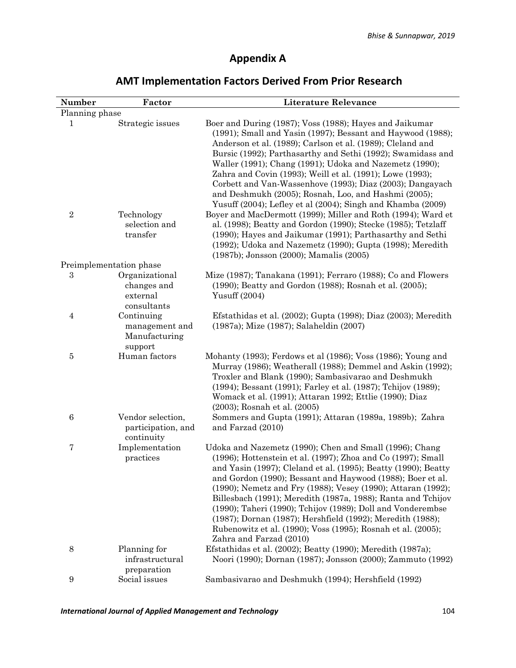## **Appendix A**

| Number           | Factor                                                   | <b>Literature Relevance</b>                                                                                                                                                                                                                                                                                                                                                                                                                                                                                                                                                                                     |
|------------------|----------------------------------------------------------|-----------------------------------------------------------------------------------------------------------------------------------------------------------------------------------------------------------------------------------------------------------------------------------------------------------------------------------------------------------------------------------------------------------------------------------------------------------------------------------------------------------------------------------------------------------------------------------------------------------------|
| Planning phase   |                                                          |                                                                                                                                                                                                                                                                                                                                                                                                                                                                                                                                                                                                                 |
| 1                | Strategic issues                                         | Boer and During (1987); Voss (1988); Hayes and Jaikumar<br>(1991); Small and Yasin (1997); Bessant and Haywood (1988);<br>Anderson et al. (1989); Carlson et al. (1989); Cleland and<br>Bursic (1992); Parthasarthy and Sethi (1992); Swamidass and<br>Waller (1991); Chang (1991); Udoka and Nazemetz (1990);<br>Zahra and Covin (1993); Weill et al. (1991); Lowe (1993);<br>Corbett and Van-Wassenhove (1993); Diaz (2003); Dangayach<br>and Deshmukh (2005); Rosnah, Loo, and Hashmi (2005);<br>Yusuff (2004); Lefley et al (2004); Singh and Khamba (2009)                                                 |
| $\boldsymbol{2}$ | Technology<br>selection and<br>transfer                  | Boyer and MacDermott (1999); Miller and Roth (1994); Ward et<br>al. (1998); Beatty and Gordon (1990); Stecke (1985); Tetzlaff<br>(1990); Hayes and Jaikumar (1991); Parthasarthy and Sethi<br>(1992); Udoka and Nazemetz (1990); Gupta (1998); Meredith<br>(1987b); Jonsson (2000); Mamalis (2005)                                                                                                                                                                                                                                                                                                              |
|                  | Preimplementation phase                                  |                                                                                                                                                                                                                                                                                                                                                                                                                                                                                                                                                                                                                 |
| $\,3$            | Organizational<br>changes and<br>external<br>consultants | Mize (1987); Tanakana (1991); Ferraro (1988); Co and Flowers<br>(1990); Beatty and Gordon (1988); Rosnah et al. (2005);<br>Yusuff (2004)                                                                                                                                                                                                                                                                                                                                                                                                                                                                        |
| $\overline{4}$   | Continuing<br>management and<br>Manufacturing<br>support | Efstathidas et al. (2002); Gupta (1998); Diaz (2003); Meredith<br>(1987a); Mize (1987); Salaheldin (2007)                                                                                                                                                                                                                                                                                                                                                                                                                                                                                                       |
| $\bf 5$          | Human factors                                            | Mohanty (1993); Ferdows et al (1986); Voss (1986); Young and<br>Murray (1986); Weatherall (1988); Demmel and Askin (1992);<br>Troxler and Blank (1990); Sambasivarao and Deshmukh<br>(1994); Bessant (1991); Farley et al. (1987); Tchijov (1989);<br>Womack et al. (1991); Attaran 1992; Ettlie (1990); Diaz<br>(2003); Rosnah et al. (2005)                                                                                                                                                                                                                                                                   |
| 6                | Vendor selection,<br>participation, and<br>continuity    | Sommers and Gupta (1991); Attaran (1989a, 1989b); Zahra<br>and Farzad (2010)                                                                                                                                                                                                                                                                                                                                                                                                                                                                                                                                    |
| 7                | Implementation<br>practices                              | Udoka and Nazemetz (1990); Chen and Small (1996); Chang<br>(1996); Hottenstein et al. (1997); Zhoa and Co (1997); Small<br>and Yasin (1997); Cleland et al. (1995); Beatty (1990); Beatty<br>and Gordon (1990); Bessant and Haywood (1988); Boer et al.<br>(1990); Nemetz and Fry (1988); Vesey (1990); Attaran (1992);<br>Billesbach (1991); Meredith (1987a, 1988); Ranta and Tchijov<br>(1990); Taheri (1990); Tchijov (1989); Doll and Vonderembse<br>(1987); Dornan (1987); Hershfield (1992); Meredith (1988);<br>Rubenowitz et al. (1990); Voss (1995); Rosnah et al. (2005);<br>Zahra and Farzad (2010) |
| 8                | Planning for<br>infrastructural<br>preparation           | Efstathidas et al. (2002); Beatty (1990); Meredith (1987a);<br>Noori (1990); Dornan (1987); Jonsson (2000); Zammuto (1992)                                                                                                                                                                                                                                                                                                                                                                                                                                                                                      |
| $9\,$            | Social issues                                            | Sambasivarao and Deshmukh (1994); Hershfield (1992)                                                                                                                                                                                                                                                                                                                                                                                                                                                                                                                                                             |

## **AMT Implementation Factors Derived From Prior Research**

*International Journal of Applied Management and Technology* 104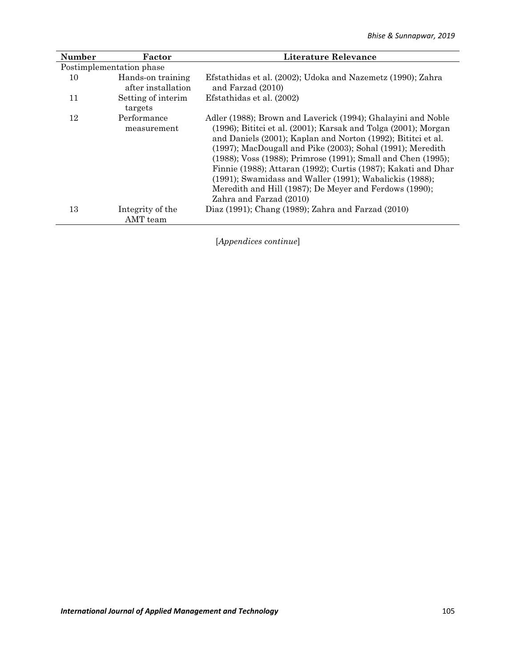| <b>Number</b> | Factor                                  | Literature Relevance                                                                                                                                                                                                                                                                                                                                                                                                                                                                                                                                            |
|---------------|-----------------------------------------|-----------------------------------------------------------------------------------------------------------------------------------------------------------------------------------------------------------------------------------------------------------------------------------------------------------------------------------------------------------------------------------------------------------------------------------------------------------------------------------------------------------------------------------------------------------------|
|               | Postimplementation phase                |                                                                                                                                                                                                                                                                                                                                                                                                                                                                                                                                                                 |
| 10            | Hands-on training<br>after installation | Efstathidas et al. (2002); Udoka and Nazemetz (1990); Zahra<br>and Farzad (2010)                                                                                                                                                                                                                                                                                                                                                                                                                                                                                |
| 11            | Setting of interim.<br>targets          | Efstathidas et al. (2002)                                                                                                                                                                                                                                                                                                                                                                                                                                                                                                                                       |
| 12            | Performance<br>measurement              | Adler (1988); Brown and Laverick (1994); Ghalayini and Noble<br>$(1996)$ ; Bititci et al. $(2001)$ ; Karsak and Tolga $(2001)$ ; Morgan<br>and Daniels (2001); Kaplan and Norton (1992); Bititci et al.<br>(1997); MacDougall and Pike (2003); Sohal (1991); Meredith<br>(1988); Voss (1988); Primrose (1991); Small and Chen (1995);<br>Finnie (1988); Attaran (1992); Curtis (1987); Kakati and Dhar<br>$(1991)$ ; Swamidass and Waller $(1991)$ ; Wabalickis $(1988)$ ;<br>Meredith and Hill (1987); De Meyer and Ferdows (1990);<br>Zahra and Farzad (2010) |
| 13            | Integrity of the<br>AMT team            | Diaz (1991); Chang (1989); Zahra and Farzad (2010)                                                                                                                                                                                                                                                                                                                                                                                                                                                                                                              |

[*Appendices continue*]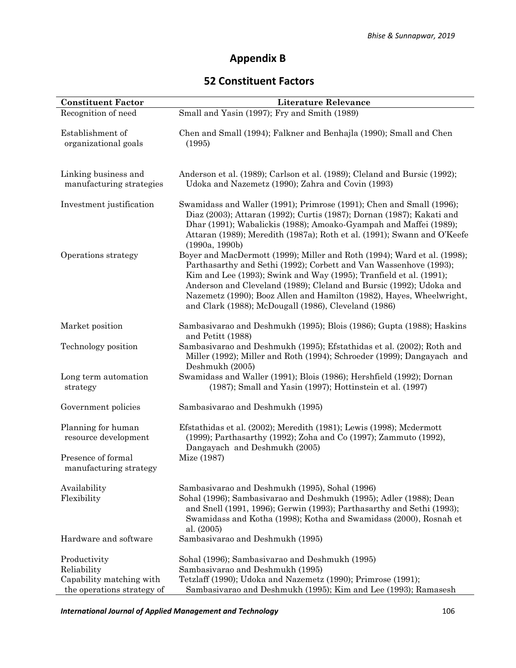## **Appendix B**

### **52 Constituent Factors**

| <b>Constituent Factor</b>                               | <b>Literature Relevance</b>                                                                                                                                                                                                                                                                                                                                                                                                |
|---------------------------------------------------------|----------------------------------------------------------------------------------------------------------------------------------------------------------------------------------------------------------------------------------------------------------------------------------------------------------------------------------------------------------------------------------------------------------------------------|
| Recognition of need                                     | Small and Yasin (1997); Fry and Smith (1989)                                                                                                                                                                                                                                                                                                                                                                               |
| Establishment of<br>organizational goals                | Chen and Small (1994); Falkner and Benhajla (1990); Small and Chen<br>(1995)                                                                                                                                                                                                                                                                                                                                               |
| Linking business and<br>manufacturing strategies        | Anderson et al. (1989); Carlson et al. (1989); Cleland and Bursic (1992);<br>Udoka and Nazemetz (1990); Zahra and Covin (1993)                                                                                                                                                                                                                                                                                             |
| Investment justification                                | Swamidass and Waller (1991); Primrose (1991); Chen and Small (1996);<br>Diaz (2003); Attaran (1992); Curtis (1987); Dornan (1987); Kakati and<br>Dhar (1991); Wabalickis (1988); Amoako-Gyampah and Maffei (1989);<br>Attaran (1989); Meredith (1987a); Roth et al. (1991); Swann and O'Keefe<br>(1990a, 1990b)                                                                                                            |
| Operations strategy                                     | Boyer and MacDermott (1999); Miller and Roth (1994); Ward et al. (1998);<br>Parthasarthy and Sethi (1992); Corbett and Van Wassenhove (1993);<br>Kim and Lee (1993); Swink and Way (1995); Tranfield et al. (1991);<br>Anderson and Cleveland (1989); Cleland and Bursic (1992); Udoka and<br>Nazemetz (1990); Booz Allen and Hamilton (1982), Hayes, Wheelwright,<br>and Clark (1988); McDougall (1986), Cleveland (1986) |
| Market position                                         | Sambasivarao and Deshmukh (1995); Blois (1986); Gupta (1988); Haskins<br>and Petitt (1988)                                                                                                                                                                                                                                                                                                                                 |
| Technology position                                     | Sambasivarao and Deshmukh (1995); Efstathidas et al. (2002); Roth and<br>Miller (1992); Miller and Roth (1994); Schroeder (1999); Dangayach and<br>Deshmukh (2005)                                                                                                                                                                                                                                                         |
| Long term automation<br>strategy                        | Swamidass and Waller (1991); Blois (1986); Hershfield (1992); Dornan<br>$(1987)$ ; Small and Yasin $(1997)$ ; Hottinstein et al. $(1997)$                                                                                                                                                                                                                                                                                  |
| Government policies                                     | Sambasivarao and Deshmukh (1995)                                                                                                                                                                                                                                                                                                                                                                                           |
| Planning for human<br>resource development              | Efstathidas et al. (2002); Meredith (1981); Lewis (1998); Mcdermott<br>(1999); Parthasarthy (1992); Zoha and Co (1997); Zammuto (1992),<br>Dangayach and Deshmukh (2005)                                                                                                                                                                                                                                                   |
| Presence of formal<br>manufacturing strategy            | Mize (1987)                                                                                                                                                                                                                                                                                                                                                                                                                |
| Availability<br>Flexibility                             | Sambasivarao and Deshmukh (1995), Sohal (1996)<br>Sohal (1996); Sambasivarao and Deshmukh (1995); Adler (1988); Dean<br>and Snell (1991, 1996); Gerwin (1993); Parthasarthy and Sethi (1993);<br>Swamidass and Kotha (1998); Kotha and Swamidass (2000), Rosnah et<br>al. (2005)                                                                                                                                           |
| Hardware and software                                   | Sambasivarao and Deshmukh (1995)                                                                                                                                                                                                                                                                                                                                                                                           |
| Productivity<br>Reliability<br>Capability matching with | Sohal (1996); Sambasivarao and Deshmukh (1995)<br>Sambasivarao and Deshmukh (1995)<br>Tetzlaff (1990); Udoka and Nazemetz (1990); Primrose (1991);                                                                                                                                                                                                                                                                         |
| the operations strategy of                              | Sambasivarao and Deshmukh (1995); Kim and Lee (1993); Ramasesh                                                                                                                                                                                                                                                                                                                                                             |

*International Journal of Applied Management and Technology* 106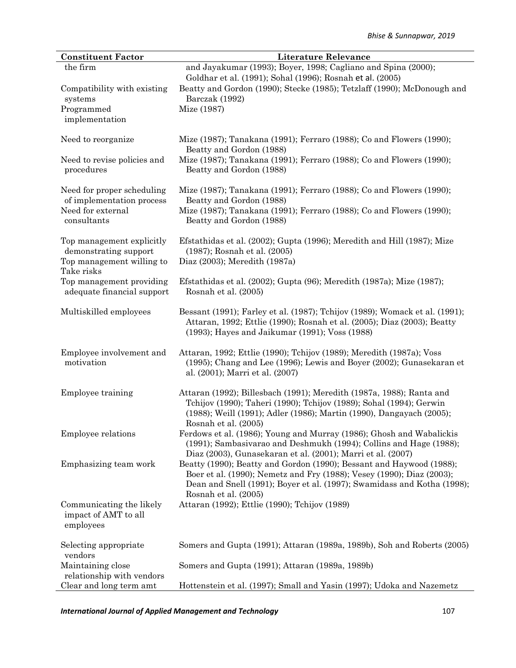| <b>Constituent Factor</b>                                                                     | <b>Literature Relevance</b>                                                                                                                                                                                                                      |
|-----------------------------------------------------------------------------------------------|--------------------------------------------------------------------------------------------------------------------------------------------------------------------------------------------------------------------------------------------------|
| the firm                                                                                      | and Jayakumar (1993); Boyer, 1998; Cagliano and Spina (2000);<br>Goldhar et al. (1991); Sohal (1996); Rosnah et al. (2005)                                                                                                                       |
| Compatibility with existing<br>systems                                                        | Beatty and Gordon (1990); Stecke (1985); Tetzlaff (1990); McDonough and<br>Barczak (1992)                                                                                                                                                        |
| Programmed<br>implementation                                                                  | Mize (1987)                                                                                                                                                                                                                                      |
| Need to reorganize                                                                            | Mize (1987); Tanakana (1991); Ferraro (1988); Co and Flowers (1990);<br>Beatty and Gordon (1988)                                                                                                                                                 |
| Need to revise policies and<br>procedures                                                     | Mize (1987); Tanakana (1991); Ferraro (1988); Co and Flowers (1990);<br>Beatty and Gordon (1988)                                                                                                                                                 |
| Need for proper scheduling<br>of implementation process                                       | Mize (1987); Tanakana (1991); Ferraro (1988); Co and Flowers (1990);<br>Beatty and Gordon (1988)                                                                                                                                                 |
| Need for external<br>consultants                                                              | Mize (1987); Tanakana (1991); Ferraro (1988); Co and Flowers (1990);<br>Beatty and Gordon (1988)                                                                                                                                                 |
| Top management explicitly<br>demonstrating support<br>Top management willing to<br>Take risks | Efstathidas et al. (2002); Gupta (1996); Meredith and Hill (1987); Mize<br>(1987); Rosnah et al. (2005)<br>Diaz (2003); Meredith (1987a)                                                                                                         |
| Top management providing<br>adequate financial support                                        | Efstathidas et al. (2002); Gupta (96); Meredith (1987a); Mize (1987);<br>Rosnah et al. (2005)                                                                                                                                                    |
| Multiskilled employees                                                                        | Bessant (1991); Farley et al. (1987); Tchijov (1989); Womack et al. (1991);<br>Attaran, 1992; Ettlie (1990); Rosnah et al. (2005); Diaz (2003); Beatty<br>(1993); Hayes and Jaikumar (1991); Voss (1988)                                         |
| Employee involvement and<br>motivation                                                        | Attaran, 1992; Ettlie (1990); Tchijov (1989); Meredith (1987a); Voss<br>(1995); Chang and Lee (1996); Lewis and Boyer (2002); Gunasekaran et<br>al. (2001); Marri et al. (2007)                                                                  |
| Employee training                                                                             | Attaran (1992); Billesbach (1991); Meredith (1987a, 1988); Ranta and<br>Tchijov (1990); Taheri (1990); Tchijov (1989); Sohal (1994); Gerwin<br>(1988); Weill (1991); Adler (1986); Martin (1990), Dangayach (2005);<br>Rosnah et al. (2005)      |
| Employee relations                                                                            | Ferdows et al. (1986); Young and Murray (1986); Ghosh and Wabalickis<br>(1991); Sambasivarao and Deshmukh (1994); Collins and Hage (1988);<br>Diaz (2003), Gunasekaran et al. (2001); Marri et al. (2007)                                        |
| Emphasizing team work                                                                         | Beatty (1990); Beatty and Gordon (1990); Bessant and Haywood (1988);<br>Boer et al. (1990); Nemetz and Fry (1988); Vesey (1990); Diaz (2003);<br>Dean and Snell (1991); Boyer et al. (1997); Swamidass and Kotha (1998);<br>Rosnah et al. (2005) |
| Communicating the likely<br>impact of AMT to all<br>employees                                 | Attaran (1992); Ettlie (1990); Tchijov (1989)                                                                                                                                                                                                    |
| Selecting appropriate<br>vendors                                                              | Somers and Gupta (1991); Attaran (1989a, 1989b), Soh and Roberts (2005)                                                                                                                                                                          |
| Maintaining close<br>relationship with vendors                                                | Somers and Gupta (1991); Attaran (1989a, 1989b)                                                                                                                                                                                                  |
| Clear and long term amt                                                                       | Hottenstein et al. (1997); Small and Yasin (1997); Udoka and Nazemetz                                                                                                                                                                            |

*International Journal of Applied Management and Technology* 107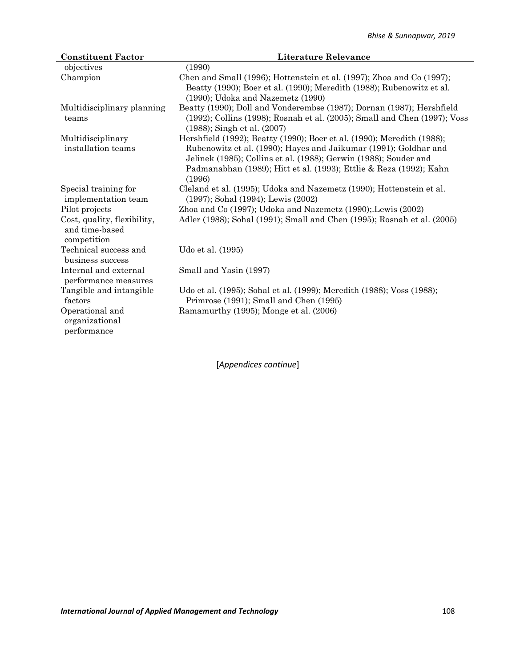| <b>Constituent Factor</b>                                    | <b>Literature Relevance</b>                                                                                                                                                                                                                                                                    |
|--------------------------------------------------------------|------------------------------------------------------------------------------------------------------------------------------------------------------------------------------------------------------------------------------------------------------------------------------------------------|
| objectives                                                   | (1990)                                                                                                                                                                                                                                                                                         |
| Champion                                                     | Chen and Small (1996); Hottenstein et al. (1997); Zhoa and Co (1997);<br>Beatty (1990); Boer et al. (1990); Meredith (1988); Rubenowitz et al.<br>(1990); Udoka and Nazemetz (1990)                                                                                                            |
| Multidisciplinary planning<br>teams                          | Beatty (1990); Doll and Vonderembse (1987); Dornan (1987); Hershfield<br>(1992); Collins (1998); Rosnah et al. (2005); Small and Chen (1997); Voss<br>(1988); Singh et al. (2007)                                                                                                              |
| Multidisciplinary<br>installation teams                      | Hershfield (1992); Beatty (1990); Boer et al. (1990); Meredith (1988);<br>Rubenowitz et al. (1990); Hayes and Jaikumar (1991); Goldhar and<br>Jelinek (1985); Collins et al. (1988); Gerwin (1988); Souder and<br>Padmanabhan (1989); Hitt et al. (1993); Ettlie & Reza (1992); Kahn<br>(1996) |
| Special training for<br>implementation team                  | Cleland et al. (1995); Udoka and Nazemetz (1990); Hottenstein et al.<br>(1997); Sohal (1994); Lewis (2002)                                                                                                                                                                                     |
| Pilot projects                                               | Zhoa and Co (1997); Udoka and Nazemetz (1990); Lewis (2002)                                                                                                                                                                                                                                    |
| Cost, quality, flexibility,<br>and time-based<br>competition | Adler (1988); Sohal (1991); Small and Chen (1995); Rosnah et al. (2005)                                                                                                                                                                                                                        |
| Technical success and<br>business success                    | Udo et al. (1995)                                                                                                                                                                                                                                                                              |
| Internal and external<br>performance measures                | Small and Yasin (1997)                                                                                                                                                                                                                                                                         |
| Tangible and intangible<br>factors                           | Udo et al. (1995); Sohal et al. (1999); Meredith (1988); Voss (1988);<br>Primrose (1991); Small and Chen (1995)                                                                                                                                                                                |
| Operational and<br>organizational<br>performance             | Ramamurthy (1995); Monge et al. (2006)                                                                                                                                                                                                                                                         |

[*Appendices continue*]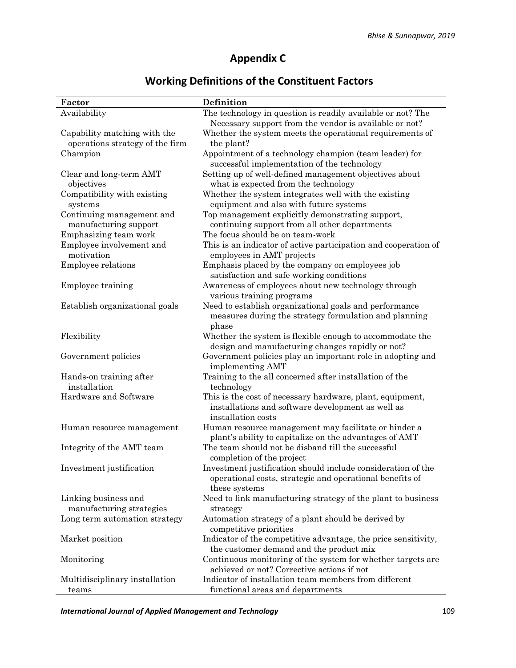## **Appendix C**

## **Working Definitions of the Constituent Factors**

| Factor                                                          | Definition                                                                                                      |
|-----------------------------------------------------------------|-----------------------------------------------------------------------------------------------------------------|
| Availability                                                    | The technology in question is readily available or not? The                                                     |
|                                                                 | Necessary support from the vendor is available or not?                                                          |
| Capability matching with the<br>operations strategy of the firm | Whether the system meets the operational requirements of<br>the plant?                                          |
| Champion                                                        | Appointment of a technology champion (team leader) for                                                          |
|                                                                 | successful implementation of the technology                                                                     |
|                                                                 | Setting up of well-defined management objectives about                                                          |
| Clear and long-term AMT<br>objectives                           | what is expected from the technology                                                                            |
| Compatibility with existing                                     | Whether the system integrates well with the existing                                                            |
| systems                                                         | equipment and also with future systems                                                                          |
|                                                                 | Top management explicitly demonstrating support,                                                                |
| Continuing management and<br>manufacturing support              | continuing support from all other departments                                                                   |
| Emphasizing team work                                           | The focus should be on team-work                                                                                |
|                                                                 |                                                                                                                 |
| Employee involvement and<br>motivation                          | This is an indicator of active participation and cooperation of                                                 |
|                                                                 | employees in AMT projects                                                                                       |
| Employee relations                                              | Emphasis placed by the company on employees job                                                                 |
|                                                                 | satisfaction and safe working conditions                                                                        |
| Employee training                                               | Awareness of employees about new technology through                                                             |
|                                                                 | various training programs                                                                                       |
| Establish organizational goals                                  | Need to establish organizational goals and performance<br>measures during the strategy formulation and planning |
|                                                                 | phase                                                                                                           |
| Flexibility                                                     | Whether the system is flexible enough to accommodate the                                                        |
|                                                                 | design and manufacturing changes rapidly or not?                                                                |
| Government policies                                             | Government policies play an important role in adopting and<br>implementing AMT                                  |
| Hands-on training after                                         | Training to the all concerned after installation of the                                                         |
| installation                                                    | technology                                                                                                      |
| Hardware and Software                                           | This is the cost of necessary hardware, plant, equipment,<br>installations and software development as well as  |
|                                                                 | installation costs                                                                                              |
| Human resource management                                       | Human resource management may facilitate or hinder a                                                            |
|                                                                 | plant's ability to capitalize on the advantages of AMT                                                          |
| Integrity of the AMT team                                       | The team should not be disband till the successful                                                              |
|                                                                 | completion of the project                                                                                       |
| Investment justification                                        | Investment justification should include consideration of the                                                    |
|                                                                 | operational costs, strategic and operational benefits of                                                        |
|                                                                 | these systems                                                                                                   |
| Linking business and                                            | Need to link manufacturing strategy of the plant to business                                                    |
| manufacturing strategies                                        | strategy                                                                                                        |
| Long term automation strategy                                   | Automation strategy of a plant should be derived by<br>competitive priorities                                   |
| Market position                                                 | Indicator of the competitive advantage, the price sensitivity,                                                  |
|                                                                 | the customer demand and the product mix                                                                         |
| Monitoring                                                      | Continuous monitoring of the system for whether targets are                                                     |
|                                                                 | achieved or not? Corrective actions if not                                                                      |
| Multidisciplinary installation                                  | Indicator of installation team members from different                                                           |
| teams                                                           | functional areas and departments                                                                                |

*International Journal of Applied Management and Technology* 109 109